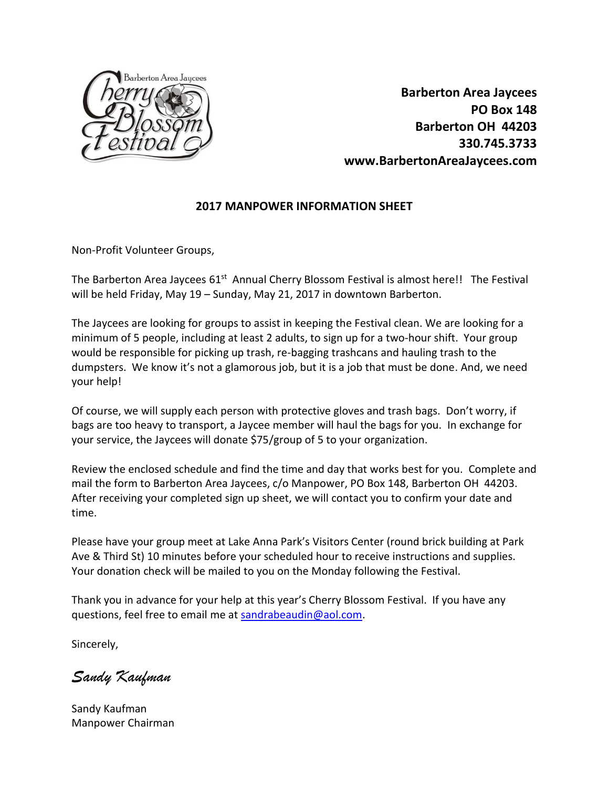

 **Barberton Area Jaycees PO Box 148 Barberton OH 44203 330.745.3733 www.BarbertonAreaJaycees.com**

## **2017 MANPOWER INFORMATION SHEET**

Non-Profit Volunteer Groups,

The Barberton Area Jaycees 61<sup>st</sup> Annual Cherry Blossom Festival is almost here!! The Festival will be held Friday, May 19 – Sunday, May 21, 2017 in downtown Barberton.

The Jaycees are looking for groups to assist in keeping the Festival clean. We are looking for a minimum of 5 people, including at least 2 adults, to sign up for a two-hour shift. Your group would be responsible for picking up trash, re-bagging trashcans and hauling trash to the dumpsters. We know it's not a glamorous job, but it is a job that must be done. And, we need your help!

Of course, we will supply each person with protective gloves and trash bags. Don't worry, if bags are too heavy to transport, a Jaycee member will haul the bags for you. In exchange for your service, the Jaycees will donate \$75/group of 5 to your organization.

Review the enclosed schedule and find the time and day that works best for you. Complete and mail the form to Barberton Area Jaycees, c/o Manpower, PO Box 148, Barberton OH 44203. After receiving your completed sign up sheet, we will contact you to confirm your date and time.

Please have your group meet at Lake Anna Park's Visitors Center (round brick building at Park Ave & Third St) 10 minutes before your scheduled hour to receive instructions and supplies. Your donation check will be mailed to you on the Monday following the Festival.

Thank you in advance for your help at this year's Cherry Blossom Festival. If you have any questions, feel free to email me at [sandrabeaudin@aol.com.](mailto:sandrabeaudin@aol.com)

Sincerely,

*Sandy Kaufman*

Sandy Kaufman Manpower Chairman